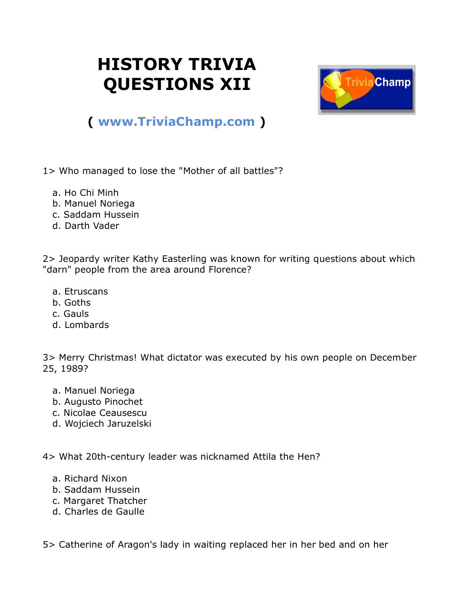## **HISTORY TRIVIA QUESTIONS XII**



## **( [www.TriviaChamp.com](http://www.triviachamp.com/) )**

1> Who managed to lose the "Mother of all battles"?

- a. Ho Chi Minh
- b. Manuel Noriega
- c. Saddam Hussein
- d. Darth Vader

2> Jeopardy writer Kathy Easterling was known for writing questions about which "darn" people from the area around Florence?

- a. Etruscans
- b. Goths
- c. Gauls
- d. Lombards

3> Merry Christmas! What dictator was executed by his own people on December 25, 1989?

- a. Manuel Noriega
- b. Augusto Pinochet
- c. Nicolae Ceausescu
- d. Wojciech Jaruzelski

4> What 20th-century leader was nicknamed Attila the Hen?

- a. Richard Nixon
- b. Saddam Hussein
- c. Margaret Thatcher
- d. Charles de Gaulle

5> Catherine of Aragon's lady in waiting replaced her in her bed and on her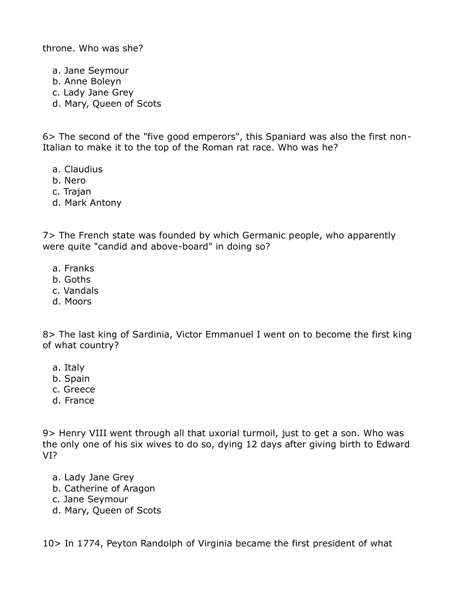throne. Who was she?

a. Jane Seymour

- b. Anne Boleyn
- c. Lady Jane Grey
- d. Mary, Queen of Scots

6> The second of the "five good emperors", this Spaniard was also the first non-Italian to make it to the top of the Roman rat race. Who was he?

- a. Claudius
- b. Nero
- c. Trajan
- d. Mark Antony

7> The French state was founded by which Germanic people, who apparently were quite "candid and above-board" in doing so?

- a. Franks
- b. Goths
- c. Vandals
- d. Moors

8> The last king of Sardinia, Victor Emmanuel I went on to become the first king of what country?

- a. Italy
- b. Spain
- c. Greece
- d. France

9> Henry VIII went through all that uxorial turmoil, just to get a son. Who was the only one of his six wives to do so, dying 12 days after giving birth to Edward VI?

- a. Lady Jane Grey
- b. Catherine of Aragon
- c. Jane Seymour
- d. Mary, Queen of Scots

10> In 1774, Peyton Randolph of Virginia became the first president of what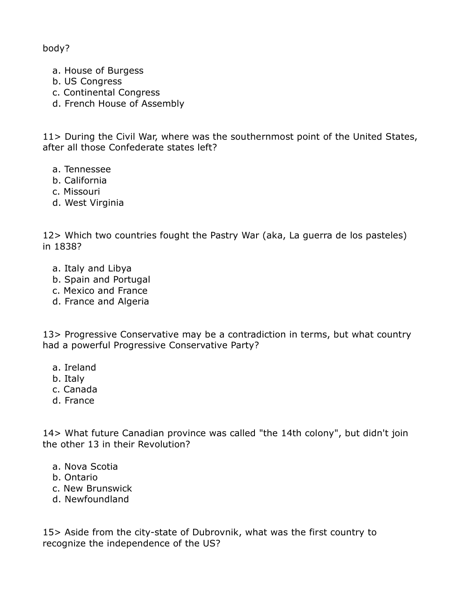body?

- a. House of Burgess
- b. US Congress
- c. Continental Congress
- d. French House of Assembly

11> During the Civil War, where was the southernmost point of the United States, after all those Confederate states left?

- a. Tennessee
- b. California
- c. Missouri
- d. West Virginia

12> Which two countries fought the Pastry War (aka, La guerra de los pasteles) in 1838?

- a. Italy and Libya
- b. Spain and Portugal
- c. Mexico and France
- d. France and Algeria

13> Progressive Conservative may be a contradiction in terms, but what country had a powerful Progressive Conservative Party?

- a. Ireland
- b. Italy
- c. Canada
- d. France

14> What future Canadian province was called "the 14th colony", but didn't join the other 13 in their Revolution?

- a. Nova Scotia
- b. Ontario
- c. New Brunswick
- d. Newfoundland

15> Aside from the city-state of Dubrovnik, what was the first country to recognize the independence of the US?